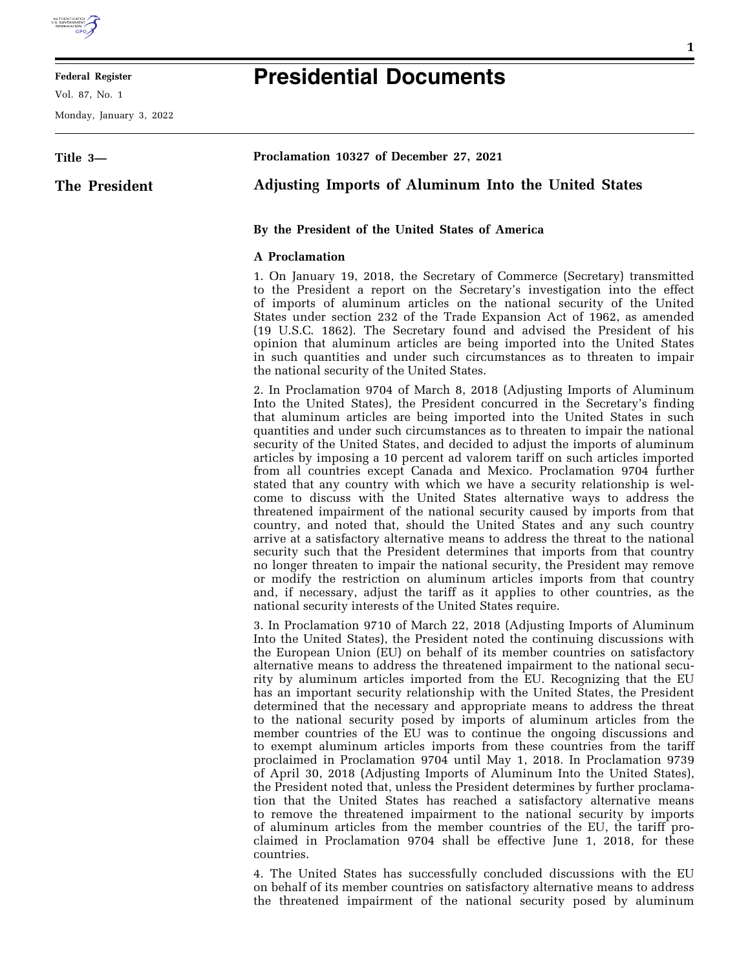

## **Federal Register**

Vol. 87, No. 1

Monday, January 3, 2022

| Title 3-      | Proclamation 10327 of December 27, 2021                                                                                                                                                                                                                                                                                                                                                                                                                                                                                                                                                                                                                                                                                                                                                                                                                                                                                                                                                                                                                                                                                                                                                                                                                                                                                                                    |  |  |  |
|---------------|------------------------------------------------------------------------------------------------------------------------------------------------------------------------------------------------------------------------------------------------------------------------------------------------------------------------------------------------------------------------------------------------------------------------------------------------------------------------------------------------------------------------------------------------------------------------------------------------------------------------------------------------------------------------------------------------------------------------------------------------------------------------------------------------------------------------------------------------------------------------------------------------------------------------------------------------------------------------------------------------------------------------------------------------------------------------------------------------------------------------------------------------------------------------------------------------------------------------------------------------------------------------------------------------------------------------------------------------------------|--|--|--|
| The President | <b>Adjusting Imports of Aluminum Into the United States</b>                                                                                                                                                                                                                                                                                                                                                                                                                                                                                                                                                                                                                                                                                                                                                                                                                                                                                                                                                                                                                                                                                                                                                                                                                                                                                                |  |  |  |
|               | By the President of the United States of America                                                                                                                                                                                                                                                                                                                                                                                                                                                                                                                                                                                                                                                                                                                                                                                                                                                                                                                                                                                                                                                                                                                                                                                                                                                                                                           |  |  |  |
|               | <b>A</b> Proclamation                                                                                                                                                                                                                                                                                                                                                                                                                                                                                                                                                                                                                                                                                                                                                                                                                                                                                                                                                                                                                                                                                                                                                                                                                                                                                                                                      |  |  |  |
|               | 1. On January 19, 2018, the Secretary of Commerce (Secretary) transmitted<br>to the President a report on the Secretary's investigation into the effect<br>of imports of aluminum articles on the national security of the United<br>States under section 232 of the Trade Expansion Act of 1962, as amended<br>(19 U.S.C. 1862). The Secretary found and advised the President of his<br>opinion that aluminum articles are being imported into the United States<br>in such quantities and under such circumstances as to threaten to impair<br>the national security of the United States.                                                                                                                                                                                                                                                                                                                                                                                                                                                                                                                                                                                                                                                                                                                                                              |  |  |  |
|               | 2. In Proclamation 9704 of March 8, 2018 (Adjusting Imports of Aluminum<br>Into the United States), the President concurred in the Secretary's finding<br>that aluminum articles are being imported into the United States in such<br>quantities and under such circumstances as to threaten to impair the national<br>security of the United States, and decided to adjust the imports of aluminum<br>articles by imposing a 10 percent ad valorem tariff on such articles imported<br>from all countries except Canada and Mexico. Proclamation 9704 further<br>stated that any country with which we have a security relationship is wel-<br>come to discuss with the United States alternative ways to address the<br>threatened impairment of the national security caused by imports from that<br>country, and noted that, should the United States and any such country<br>arrive at a satisfactory alternative means to address the threat to the national<br>security such that the President determines that imports from that country<br>no longer threaten to impair the national security, the President may remove<br>or modify the restriction on aluminum articles imports from that country<br>and, if necessary, adjust the tariff as it applies to other countries, as the<br>national security interests of the United States require. |  |  |  |
|               | 3. In Proclamation 9710 of March 22, 2018 (Adjusting Imports of Aluminum<br>Into the United States), the President noted the continuing discussions with<br>the European Union (EU) on behalf of its member countries on satisfactory<br>alternative means to address the threatened impairment to the national secu-<br>rity by aluminum articles imported from the EU. Recognizing that the EU<br>has an important security relationship with the United States, the President<br>determined that the necessary and appropriate means to address the threat<br>to the national security posed by imports of aluminum articles from the<br>member countries of the EU was to continue the ongoing discussions and<br>to exempt aluminum articles imports from these countries from the tariff                                                                                                                                                                                                                                                                                                                                                                                                                                                                                                                                                             |  |  |  |

countries.

4. The United States has successfully concluded discussions with the EU on behalf of its member countries on satisfactory alternative means to address the threatened impairment of the national security posed by aluminum

proclaimed in Proclamation 9704 until May 1, 2018. In Proclamation 9739 of April 30, 2018 (Adjusting Imports of Aluminum Into the United States), the President noted that, unless the President determines by further proclamation that the United States has reached a satisfactory alternative means to remove the threatened impairment to the national security by imports of aluminum articles from the member countries of the EU, the tariff proclaimed in Proclamation 9704 shall be effective June 1, 2018, for these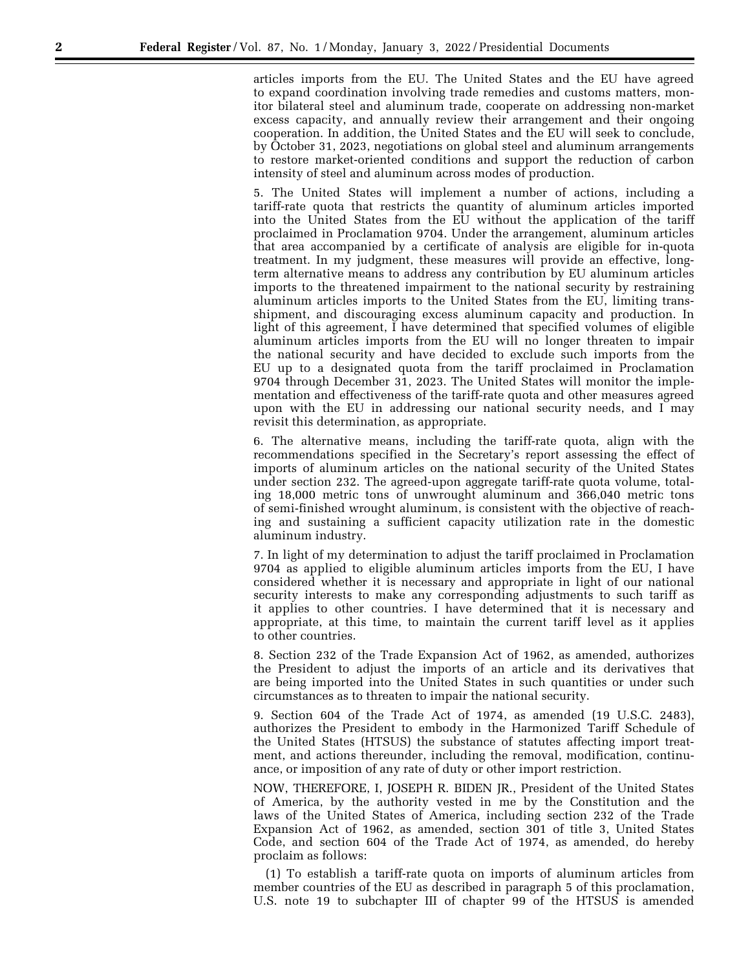articles imports from the EU. The United States and the EU have agreed to expand coordination involving trade remedies and customs matters, monitor bilateral steel and aluminum trade, cooperate on addressing non-market excess capacity, and annually review their arrangement and their ongoing cooperation. In addition, the United States and the EU will seek to conclude, by October 31, 2023, negotiations on global steel and aluminum arrangements to restore market-oriented conditions and support the reduction of carbon intensity of steel and aluminum across modes of production.

5. The United States will implement a number of actions, including a tariff-rate quota that restricts the quantity of aluminum articles imported into the United States from the EU without the application of the tariff proclaimed in Proclamation 9704. Under the arrangement, aluminum articles that area accompanied by a certificate of analysis are eligible for in-quota treatment. In my judgment, these measures will provide an effective, longterm alternative means to address any contribution by EU aluminum articles imports to the threatened impairment to the national security by restraining aluminum articles imports to the United States from the EU, limiting transshipment, and discouraging excess aluminum capacity and production. In light of this agreement, I have determined that specified volumes of eligible aluminum articles imports from the EU will no longer threaten to impair the national security and have decided to exclude such imports from the EU up to a designated quota from the tariff proclaimed in Proclamation 9704 through December 31, 2023. The United States will monitor the implementation and effectiveness of the tariff-rate quota and other measures agreed upon with the EU in addressing our national security needs, and I may revisit this determination, as appropriate.

6. The alternative means, including the tariff-rate quota, align with the recommendations specified in the Secretary's report assessing the effect of imports of aluminum articles on the national security of the United States under section 232. The agreed-upon aggregate tariff-rate quota volume, totaling 18,000 metric tons of unwrought aluminum and 366,040 metric tons of semi-finished wrought aluminum, is consistent with the objective of reaching and sustaining a sufficient capacity utilization rate in the domestic aluminum industry.

7. In light of my determination to adjust the tariff proclaimed in Proclamation 9704 as applied to eligible aluminum articles imports from the EU, I have considered whether it is necessary and appropriate in light of our national security interests to make any corresponding adjustments to such tariff as it applies to other countries. I have determined that it is necessary and appropriate, at this time, to maintain the current tariff level as it applies to other countries.

8. Section 232 of the Trade Expansion Act of 1962, as amended, authorizes the President to adjust the imports of an article and its derivatives that are being imported into the United States in such quantities or under such circumstances as to threaten to impair the national security.

9. Section 604 of the Trade Act of 1974, as amended (19 U.S.C. 2483), authorizes the President to embody in the Harmonized Tariff Schedule of the United States (HTSUS) the substance of statutes affecting import treatment, and actions thereunder, including the removal, modification, continuance, or imposition of any rate of duty or other import restriction.

NOW, THEREFORE, I, JOSEPH R. BIDEN JR., President of the United States of America, by the authority vested in me by the Constitution and the laws of the United States of America, including section 232 of the Trade Expansion Act of 1962, as amended, section 301 of title 3, United States Code, and section 604 of the Trade Act of 1974, as amended, do hereby proclaim as follows:

(1) To establish a tariff-rate quota on imports of aluminum articles from member countries of the EU as described in paragraph 5 of this proclamation, U.S. note 19 to subchapter III of chapter 99 of the HTSUS is amended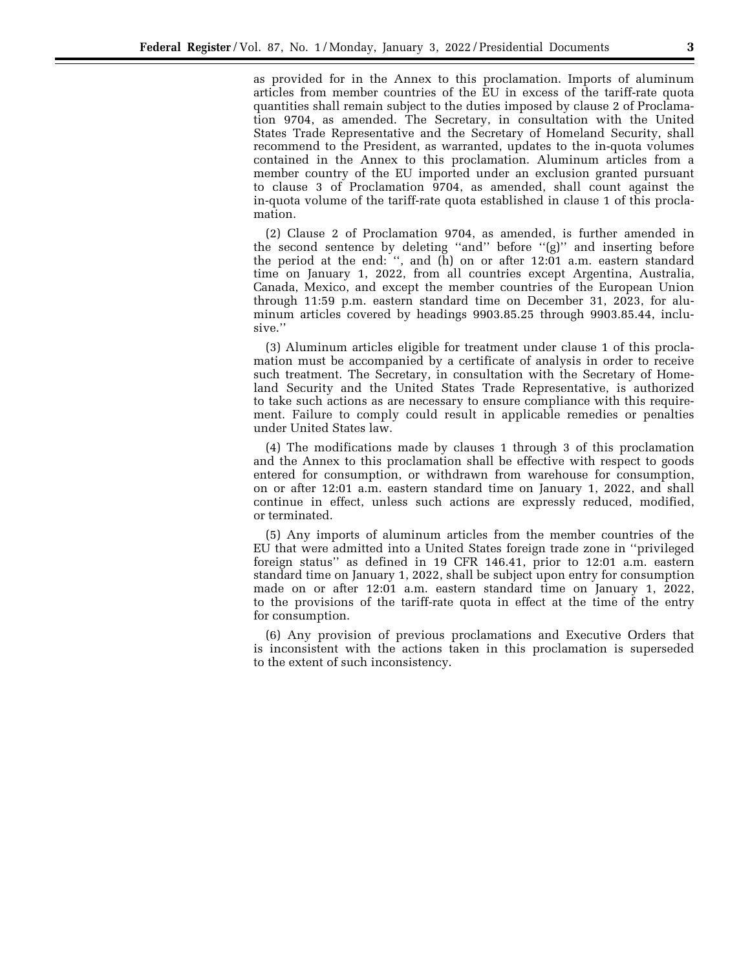as provided for in the Annex to this proclamation. Imports of aluminum articles from member countries of the EU in excess of the tariff-rate quota quantities shall remain subject to the duties imposed by clause 2 of Proclamation 9704, as amended. The Secretary, in consultation with the United States Trade Representative and the Secretary of Homeland Security, shall recommend to the President, as warranted, updates to the in-quota volumes contained in the Annex to this proclamation. Aluminum articles from a member country of the EU imported under an exclusion granted pursuant to clause 3 of Proclamation 9704, as amended, shall count against the in-quota volume of the tariff-rate quota established in clause 1 of this proclamation.

(2) Clause 2 of Proclamation 9704, as amended, is further amended in the second sentence by deleting ''and'' before ''(g)'' and inserting before the period at the end: '', and (h) on or after 12:01 a.m. eastern standard time on January 1, 2022, from all countries except Argentina, Australia, Canada, Mexico, and except the member countries of the European Union through 11:59 p.m. eastern standard time on December 31, 2023, for aluminum articles covered by headings 9903.85.25 through 9903.85.44, inclusive.''

(3) Aluminum articles eligible for treatment under clause 1 of this proclamation must be accompanied by a certificate of analysis in order to receive such treatment. The Secretary, in consultation with the Secretary of Homeland Security and the United States Trade Representative, is authorized to take such actions as are necessary to ensure compliance with this requirement. Failure to comply could result in applicable remedies or penalties under United States law.

(4) The modifications made by clauses 1 through 3 of this proclamation and the Annex to this proclamation shall be effective with respect to goods entered for consumption, or withdrawn from warehouse for consumption, on or after 12:01 a.m. eastern standard time on January 1, 2022, and shall continue in effect, unless such actions are expressly reduced, modified, or terminated.

(5) Any imports of aluminum articles from the member countries of the EU that were admitted into a United States foreign trade zone in ''privileged foreign status'' as defined in 19 CFR 146.41, prior to 12:01 a.m. eastern standard time on January 1, 2022, shall be subject upon entry for consumption made on or after 12:01 a.m. eastern standard time on January 1, 2022, to the provisions of the tariff-rate quota in effect at the time of the entry for consumption.

(6) Any provision of previous proclamations and Executive Orders that is inconsistent with the actions taken in this proclamation is superseded to the extent of such inconsistency.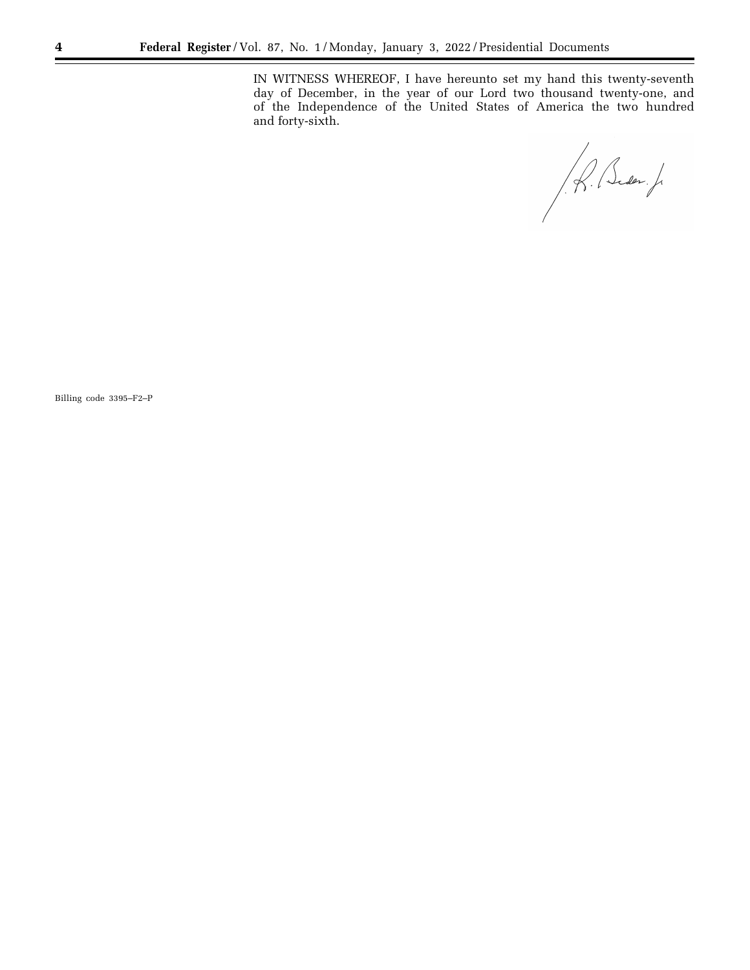IN WITNESS WHEREOF, I have hereunto set my hand this twenty-seventh day of December, in the year of our Lord two thousand twenty-one, and of the Independence of the United States of America the two hundred and forty-sixth.

R. Beder.J.

Billing code 3395–F2–P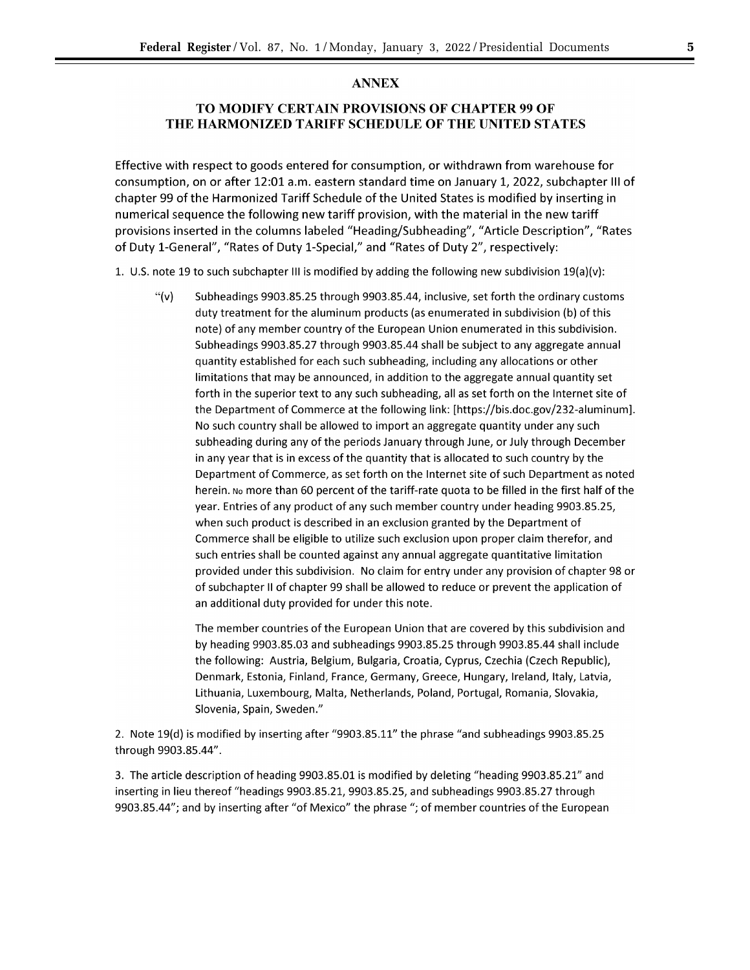## **ANNEX**

## **TO MODIFY CERTAIN PROVISIONS OF CHAPTER 99 OF THE HARMONIZED TARIFF SCHEDULE OF THE UNITED STATES**

Effective with respect to goods entered for consumption, or withdrawn from warehouse for consumption, on or after 12:01 a.m. eastern standard time on January 1, 2022, subchapter Ill of chapter 99 of the Harmonized Tariff Schedule of the United States is modified by inserting in numerical sequence the following new tariff provision, with the material in the new tariff provisions inserted in the columns labeled "Heading/Subheading", "Article Description", "Rates of Duty 1-General", "Rates of Duty 1-Special," and "Rates of Duty 2", respectively:

- 1. U.S. note 19 to such subchapter Ill is modified by adding the following new subdivision 19(a)(v):
	- "(v) Subheadings 9903.85.25 through 9903.85.44, inclusive, set forth the ordinary customs duty treatment for the aluminum products (as enumerated in subdivision (b) of this note) of any member country of the European Union enumerated in this subdivision. Subheadings 9903.85.27 through 9903.85.44 shall be subject to any aggregate annual quantity established for each such subheading, including any allocations or other limitations that may be announced, in addition to the aggregate annual quantity set forth in the superior text to any such subheading, all as set forth on the Internet site of the Department of Commerce at the following link: [\[https://bis.doc.gov/232-aluminum\].](https://bis.doc.gov/232-aluminum)  No such country shall be allowed to import an aggregate quantity under any such subheading during any of the periods January through June, or July through December in any year that is in excess of the quantity that is allocated to such country by the Department of Commerce, as set forth on the Internet site of such Department as noted herein. No more than 60 percent of the tariff-rate quota to be filled in the first half of the year. Entries of any product of any such member country under heading 9903.85.25, when such product is described in an exclusion granted by the Department of Commerce shall be eligible to utilize such exclusion upon proper claim therefor, and such entries shall be counted against any annual aggregate quantitative limitation provided under this subdivision. No claim for entry under any provision of chapter 98 or of subchapter II of chapter 99 shall be allowed to reduce or prevent the application of an additional duty provided for under this note.

The member countries of the European Union that are covered by this subdivision and by heading 9903.85.03 and subheadings 9903.85.25 through 9903.85.44 shall include the following: Austria, Belgium, Bulgaria, Croatia, Cyprus, Czechia (Czech Republic), Denmark, Estonia, Finland, France, Germany, Greece, Hungary, Ireland, Italy, Latvia, Lithuania, Luxembourg, Malta, Netherlands, Poland, Portugal, Romania, Slovakia, Slovenia, Spain, Sweden."

2. Note 19(d) is modified by inserting after "9903.85.11" the phrase "and subheadings 9903.85.25 through 9903.85.44".

3. The article description of heading 9903.85.01 is modified by deleting "heading 9903.85.21" and inserting in lieu thereof "headings 9903.85.21, 9903.85.25, and subheadings 9903.85.27 through 9903.85.44"; and by inserting after "of Mexico" the phrase "; of member countries of the European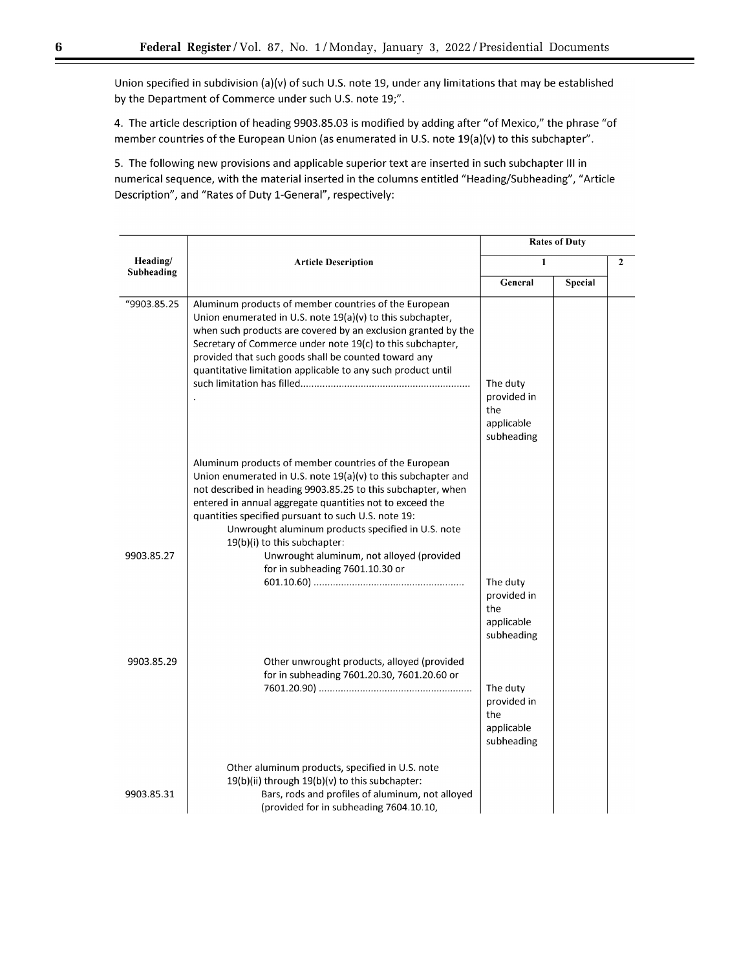Union specified in subdivision (a)(v) of such U.S. note 19, under any limitations that may be established by the Department of Commerce under such U.S. note 19;".

4. The article description of heading 9903.85.03 is modified by adding after "of Mexico," the phrase "of member countries of the European Union (as enumerated in U.S. note 19(a)(v) to this subchapter".

5. The following new provisions and applicable superior text are inserted in such subchapter Ill in numerical sequence, with the material inserted in the columns entitled "Heading/Subheading", "Article Description", and "Rates of Duty 1-General", respectively:

|                        | <b>Article Description</b>                                                                                                                                                                                                                                                                                                                                                                                                                                                        | <b>Rates of Duty</b>                                       |         |                |
|------------------------|-----------------------------------------------------------------------------------------------------------------------------------------------------------------------------------------------------------------------------------------------------------------------------------------------------------------------------------------------------------------------------------------------------------------------------------------------------------------------------------|------------------------------------------------------------|---------|----------------|
| Heading/<br>Subheading |                                                                                                                                                                                                                                                                                                                                                                                                                                                                                   | $\mathbf{1}$                                               |         | $\overline{2}$ |
|                        |                                                                                                                                                                                                                                                                                                                                                                                                                                                                                   | General                                                    | Special |                |
| "9903.85.25            | Aluminum products of member countries of the European<br>Union enumerated in U.S. note 19(a)(v) to this subchapter,<br>when such products are covered by an exclusion granted by the<br>Secretary of Commerce under note 19(c) to this subchapter,<br>provided that such goods shall be counted toward any<br>quantitative limitation applicable to any such product until                                                                                                        | The duty<br>provided in<br>the<br>applicable<br>subheading |         |                |
| 9903.85.27             | Aluminum products of member countries of the European<br>Union enumerated in U.S. note $19(a)(v)$ to this subchapter and<br>not described in heading 9903.85.25 to this subchapter, when<br>entered in annual aggregate quantities not to exceed the<br>quantities specified pursuant to such U.S. note 19:<br>Unwrought aluminum products specified in U.S. note<br>19(b)(i) to this subchapter:<br>Unwrought aluminum, not alloyed (provided<br>for in subheading 7601.10.30 or | The duty<br>provided in                                    |         |                |
|                        |                                                                                                                                                                                                                                                                                                                                                                                                                                                                                   | the<br>applicable<br>subheading                            |         |                |
| 9903.85.29             | Other unwrought products, alloyed (provided<br>for in subheading 7601.20.30, 7601.20.60 or                                                                                                                                                                                                                                                                                                                                                                                        | The duty<br>provided in<br>the<br>applicable<br>subheading |         |                |
| 9903.85.31             | Other aluminum products, specified in U.S. note<br>19(b)(ii) through 19(b)(v) to this subchapter:<br>Bars, rods and profiles of aluminum, not alloyed<br>(provided for in subheading 7604.10.10,                                                                                                                                                                                                                                                                                  |                                                            |         |                |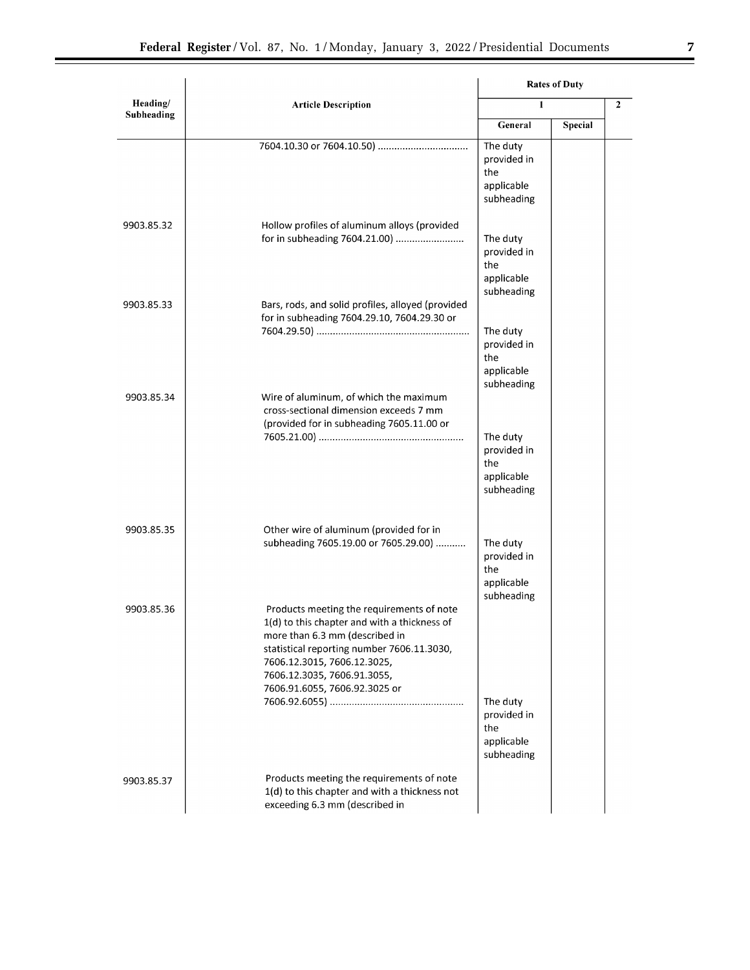|                        |                                                                                                                                                                                                                                                                          | <b>Rates of Duty</b>                                       |                |              |
|------------------------|--------------------------------------------------------------------------------------------------------------------------------------------------------------------------------------------------------------------------------------------------------------------------|------------------------------------------------------------|----------------|--------------|
| Heading/<br>Subheading | <b>Article Description</b>                                                                                                                                                                                                                                               | 1                                                          |                | $\mathbf{2}$ |
|                        |                                                                                                                                                                                                                                                                          | General                                                    | <b>Special</b> |              |
|                        |                                                                                                                                                                                                                                                                          | The duty<br>provided in<br>the<br>applicable<br>subheading |                |              |
| 9903.85.32             | Hollow profiles of aluminum alloys (provided<br>for in subheading 7604.21.00)                                                                                                                                                                                            | The duty<br>provided in<br>the<br>applicable<br>subheading |                |              |
| 9903.85.33             | Bars, rods, and solid profiles, alloyed (provided<br>for in subheading 7604.29.10, 7604.29.30 or                                                                                                                                                                         | The duty<br>provided in<br>the<br>applicable<br>subheading |                |              |
| 9903.85.34             | Wire of aluminum, of which the maximum<br>cross-sectional dimension exceeds 7 mm<br>(provided for in subheading 7605.11.00 or                                                                                                                                            | The duty<br>provided in<br>the<br>applicable<br>subheading |                |              |
| 9903.85.35             | Other wire of aluminum (provided for in<br>subheading 7605.19.00 or 7605.29.00)                                                                                                                                                                                          | The duty<br>provided in<br>the<br>applicable<br>subheading |                |              |
| 9903.85.36             | Products meeting the requirements of note<br>1(d) to this chapter and with a thickness of<br>more than 6.3 mm (described in<br>statistical reporting number 7606.11.3030,<br>7606.12.3015, 7606.12.3025,<br>7606.12.3035, 7606.91.3055,<br>7606.91.6055, 7606.92.3025 or | The duty<br>provided in<br>the<br>applicable<br>subheading |                |              |
| 9903.85.37             | Products meeting the requirements of note<br>1(d) to this chapter and with a thickness not<br>exceeding 6.3 mm (described in                                                                                                                                             |                                                            |                |              |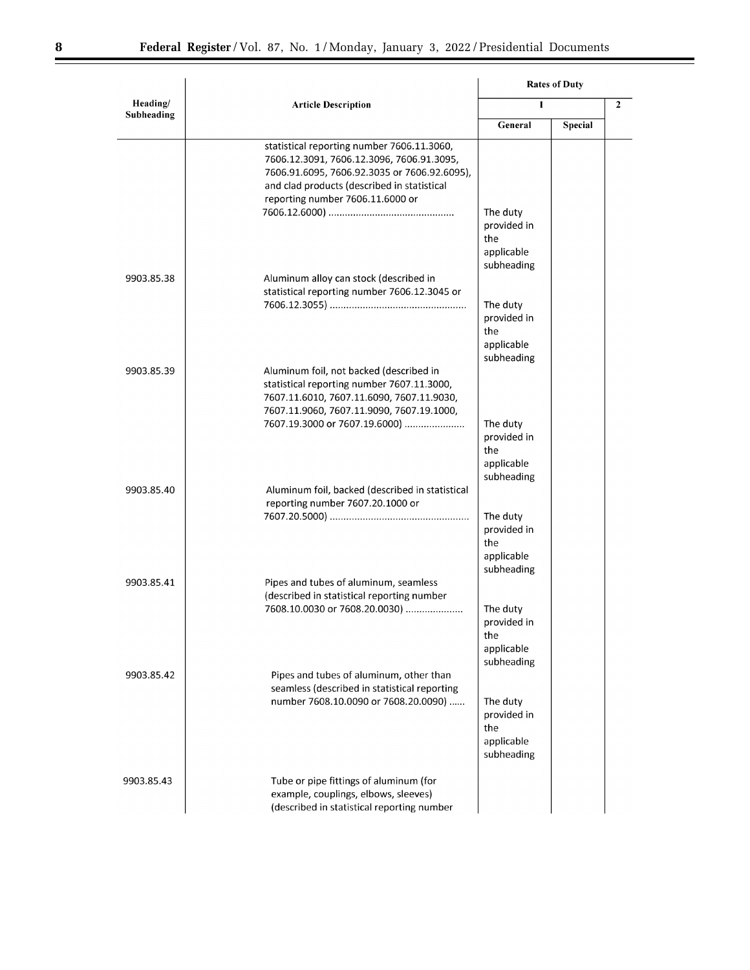▀

|                        |                                                                                                                                                                                                                            | <b>Rates of Duty</b>                                       |                |                |
|------------------------|----------------------------------------------------------------------------------------------------------------------------------------------------------------------------------------------------------------------------|------------------------------------------------------------|----------------|----------------|
| Heading/<br>Subheading | <b>Article Description</b>                                                                                                                                                                                                 | 1                                                          |                | $\overline{2}$ |
|                        |                                                                                                                                                                                                                            | General                                                    | <b>Special</b> |                |
|                        | statistical reporting number 7606.11.3060,<br>7606.12.3091, 7606.12.3096, 7606.91.3095,<br>7606.91.6095, 7606.92.3035 or 7606.92.6095),<br>and clad products (described in statistical<br>reporting number 7606.11.6000 or | The duty<br>provided in                                    |                |                |
| 9903.85.38             | Aluminum alloy can stock (described in                                                                                                                                                                                     | the<br>applicable<br>subheading                            |                |                |
|                        | statistical reporting number 7606.12.3045 or                                                                                                                                                                               | The duty<br>provided in                                    |                |                |
|                        |                                                                                                                                                                                                                            | the<br>applicable<br>subheading                            |                |                |
| 9903.85.39             | Aluminum foil, not backed (described in<br>statistical reporting number 7607.11.3000,<br>7607.11.6010, 7607.11.6090, 7607.11.9030,<br>7607.11.9060, 7607.11.9090, 7607.19.1000,<br>7607.19.3000 or 7607.19.6000)           | The duty                                                   |                |                |
|                        |                                                                                                                                                                                                                            | provided in<br>the<br>applicable<br>subheading             |                |                |
| 9903.85.40             | Aluminum foil, backed (described in statistical<br>reporting number 7607.20.1000 or                                                                                                                                        | The duty<br>provided in<br>the<br>applicable               |                |                |
| 9903.85.41             | Pipes and tubes of aluminum, seamless                                                                                                                                                                                      | subheading                                                 |                |                |
|                        | (described in statistical reporting number<br>7608.10.0030 or 7608.20.0030)                                                                                                                                                | The duty<br>provided in<br>the<br>applicable<br>subheading |                |                |
| 9903.85.42             | Pipes and tubes of aluminum, other than<br>seamless (described in statistical reporting<br>number 7608.10.0090 or 7608.20.0090)                                                                                            | The duty<br>provided in<br>the<br>applicable<br>subheading |                |                |
| 9903.85.43             | Tube or pipe fittings of aluminum (for<br>example, couplings, elbows, sleeves)<br>(described in statistical reporting number                                                                                               |                                                            |                |                |